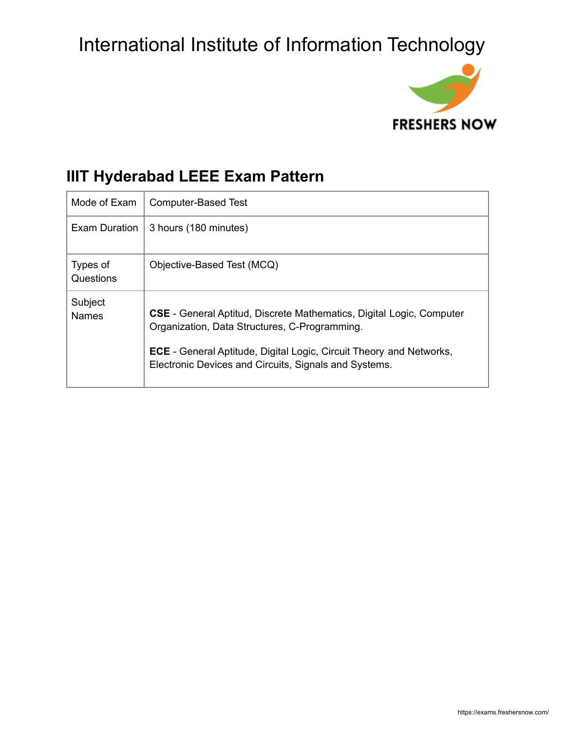

### **IIIT Hyderabad LEEE Exam Pattern**

| Mode of Exam            | <b>Computer-Based Test</b>                                                                                                                                                                                                                                          |
|-------------------------|---------------------------------------------------------------------------------------------------------------------------------------------------------------------------------------------------------------------------------------------------------------------|
| Exam Duration           | 3 hours (180 minutes)                                                                                                                                                                                                                                               |
| Types of<br>Questions   | Objective-Based Test (MCQ)                                                                                                                                                                                                                                          |
| Subject<br><b>Names</b> | <b>CSE</b> - General Aptitud, Discrete Mathematics, Digital Logic, Computer<br>Organization, Data Structures, C-Programming.<br><b>ECE</b> - General Aptitude, Digital Logic, Circuit Theory and Networks,<br>Electronic Devices and Circuits, Signals and Systems. |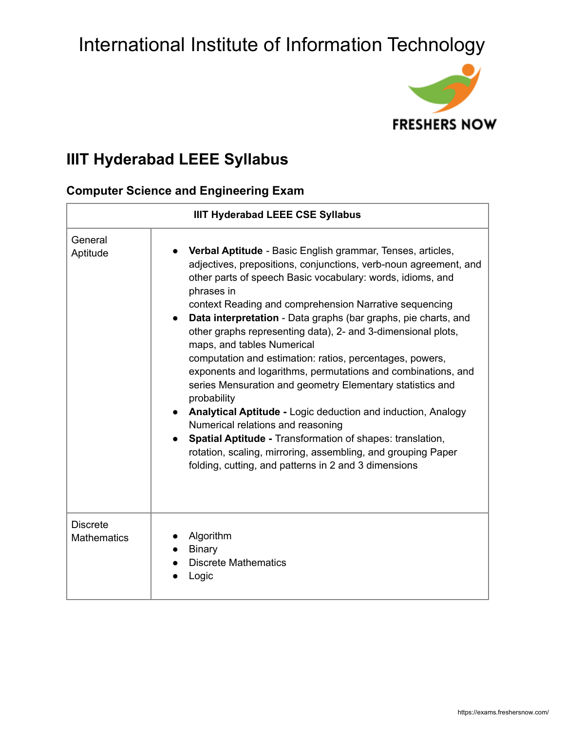

### **IIIT Hyderabad LEEE Syllabus**

#### **Computer Science and Engineering Exam**

| <b>IIIT Hyderabad LEEE CSE Syllabus</b> |                                                                                                                                                                                                                                                                                                                                                                                                                                                                                                                                                                                                                                                                                                                                                                                                                                                                                                                                               |  |
|-----------------------------------------|-----------------------------------------------------------------------------------------------------------------------------------------------------------------------------------------------------------------------------------------------------------------------------------------------------------------------------------------------------------------------------------------------------------------------------------------------------------------------------------------------------------------------------------------------------------------------------------------------------------------------------------------------------------------------------------------------------------------------------------------------------------------------------------------------------------------------------------------------------------------------------------------------------------------------------------------------|--|
| General<br>Aptitude                     | <b>Verbal Aptitude</b> - Basic English grammar, Tenses, articles,<br>adjectives, prepositions, conjunctions, verb-noun agreement, and<br>other parts of speech Basic vocabulary: words, idioms, and<br>phrases in<br>context Reading and comprehension Narrative sequencing<br>Data interpretation - Data graphs (bar graphs, pie charts, and<br>other graphs representing data), 2- and 3-dimensional plots,<br>maps, and tables Numerical<br>computation and estimation: ratios, percentages, powers,<br>exponents and logarithms, permutations and combinations, and<br>series Mensuration and geometry Elementary statistics and<br>probability<br>Analytical Aptitude - Logic deduction and induction, Analogy<br>Numerical relations and reasoning<br>Spatial Aptitude - Transformation of shapes: translation,<br>rotation, scaling, mirroring, assembling, and grouping Paper<br>folding, cutting, and patterns in 2 and 3 dimensions |  |
| <b>Discrete</b><br><b>Mathematics</b>   | Algorithm<br><b>Binary</b><br><b>Discrete Mathematics</b><br>Logic                                                                                                                                                                                                                                                                                                                                                                                                                                                                                                                                                                                                                                                                                                                                                                                                                                                                            |  |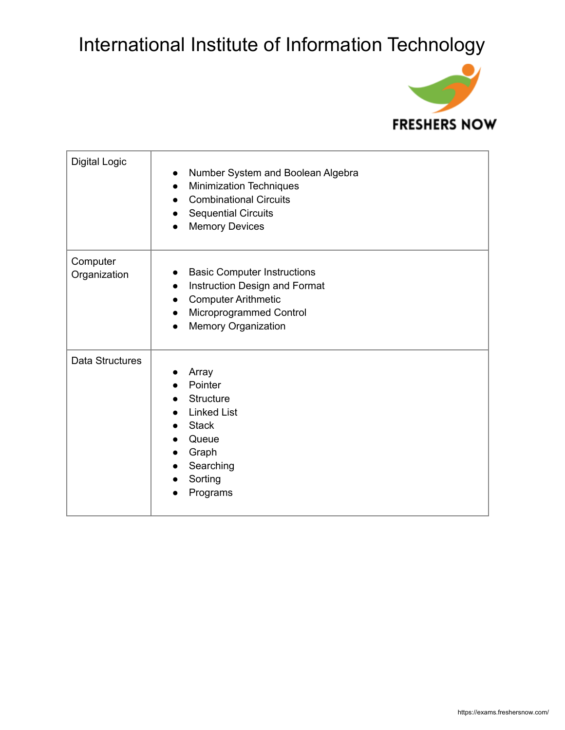

| <b>Digital Logic</b>     | Number System and Boolean Algebra<br>$\bullet$<br><b>Minimization Techniques</b><br>$\bullet$<br><b>Combinational Circuits</b><br><b>Sequential Circuits</b><br><b>Memory Devices</b>             |
|--------------------------|---------------------------------------------------------------------------------------------------------------------------------------------------------------------------------------------------|
| Computer<br>Organization | <b>Basic Computer Instructions</b><br>Instruction Design and Format<br>$\bullet$<br><b>Computer Arithmetic</b><br>$\bullet$<br>Microprogrammed Control<br>$\bullet$<br><b>Memory Organization</b> |
| Data Structures          | Array<br>Pointer<br>Structure<br><b>Linked List</b><br><b>Stack</b><br>Queue<br>Graph<br>Searching<br>$\bullet$<br>Sorting<br>Programs                                                            |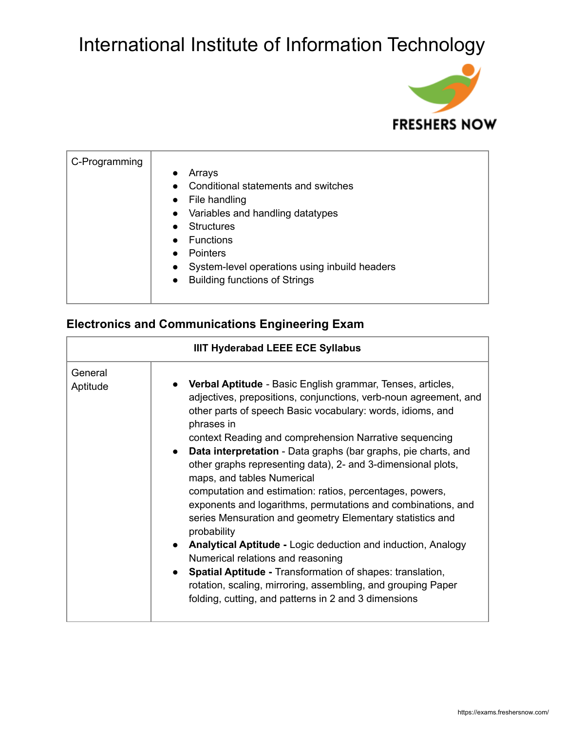

| C-Programming | Arrays<br>Conditional statements and switches<br>• File handling<br>• Variables and handling datatypes<br>Structures<br><b>Functions</b><br><b>Pointers</b><br>System-level operations using inbuild headers<br>$\bullet$<br>• Building functions of Strings |
|---------------|--------------------------------------------------------------------------------------------------------------------------------------------------------------------------------------------------------------------------------------------------------------|
|---------------|--------------------------------------------------------------------------------------------------------------------------------------------------------------------------------------------------------------------------------------------------------------|

#### **Electronics and Communications Engineering Exam**

| <b>IIIT Hyderabad LEEE ECE Syllabus</b> |                                                                                                                                                                                                                                                                                                                                                                                                                                                                                                                                                                                                                                                                                                                                                                                                                                                                                                                                              |
|-----------------------------------------|----------------------------------------------------------------------------------------------------------------------------------------------------------------------------------------------------------------------------------------------------------------------------------------------------------------------------------------------------------------------------------------------------------------------------------------------------------------------------------------------------------------------------------------------------------------------------------------------------------------------------------------------------------------------------------------------------------------------------------------------------------------------------------------------------------------------------------------------------------------------------------------------------------------------------------------------|
| General<br>Aptitude                     | • Verbal Aptitude - Basic English grammar, Tenses, articles,<br>adjectives, prepositions, conjunctions, verb-noun agreement, and<br>other parts of speech Basic vocabulary: words, idioms, and<br>phrases in<br>context Reading and comprehension Narrative sequencing<br>• Data interpretation - Data graphs (bar graphs, pie charts, and<br>other graphs representing data), 2- and 3-dimensional plots,<br>maps, and tables Numerical<br>computation and estimation: ratios, percentages, powers,<br>exponents and logarithms, permutations and combinations, and<br>series Mensuration and geometry Elementary statistics and<br>probability<br>Analytical Aptitude - Logic deduction and induction, Analogy<br>Numerical relations and reasoning<br>• Spatial Aptitude - Transformation of shapes: translation,<br>rotation, scaling, mirroring, assembling, and grouping Paper<br>folding, cutting, and patterns in 2 and 3 dimensions |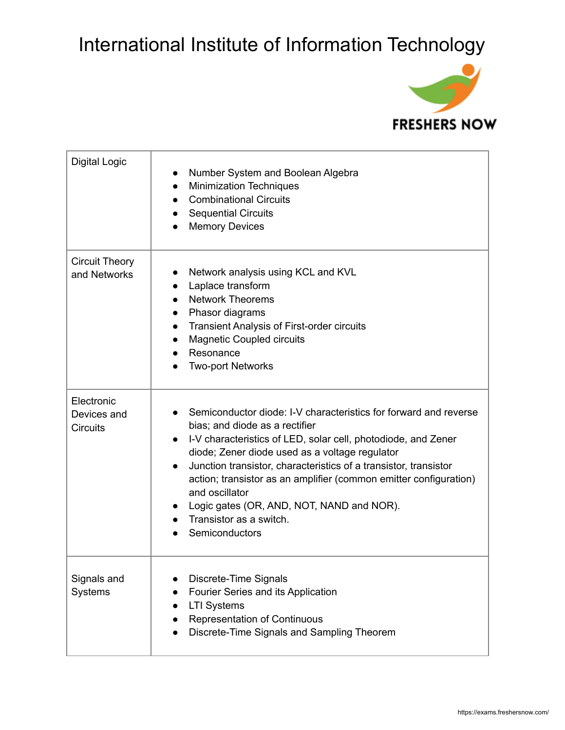

| <b>Digital Logic</b>                         | Number System and Boolean Algebra<br><b>Minimization Techniques</b><br>$\bullet$<br><b>Combinational Circuits</b><br>$\bullet$<br><b>Sequential Circuits</b><br>$\bullet$<br><b>Memory Devices</b><br>$\bullet$                                                                                                                                                                                                                                                                         |
|----------------------------------------------|-----------------------------------------------------------------------------------------------------------------------------------------------------------------------------------------------------------------------------------------------------------------------------------------------------------------------------------------------------------------------------------------------------------------------------------------------------------------------------------------|
| <b>Circuit Theory</b><br>and Networks        | Network analysis using KCL and KVL<br>Laplace transform<br>$\bullet$<br><b>Network Theorems</b><br>$\bullet$<br>Phasor diagrams<br>$\bullet$<br><b>Transient Analysis of First-order circuits</b><br>$\bullet$<br><b>Magnetic Coupled circuits</b><br>$\bullet$<br>Resonance<br>$\bullet$<br><b>Two-port Networks</b>                                                                                                                                                                   |
| Electronic<br>Devices and<br><b>Circuits</b> | Semiconductor diode: I-V characteristics for forward and reverse<br>bias; and diode as a rectifier<br>I-V characteristics of LED, solar cell, photodiode, and Zener<br>$\bullet$<br>diode; Zener diode used as a voltage regulator<br>Junction transistor, characteristics of a transistor, transistor<br>action; transistor as an amplifier (common emitter configuration)<br>and oscillator<br>Logic gates (OR, AND, NOT, NAND and NOR).<br>Transistor as a switch.<br>Semiconductors |
| Signals and<br>Systems                       | Discrete-Time Signals<br>Fourier Series and its Application<br><b>LTI Systems</b><br><b>Representation of Continuous</b><br>Discrete-Time Signals and Sampling Theorem                                                                                                                                                                                                                                                                                                                  |